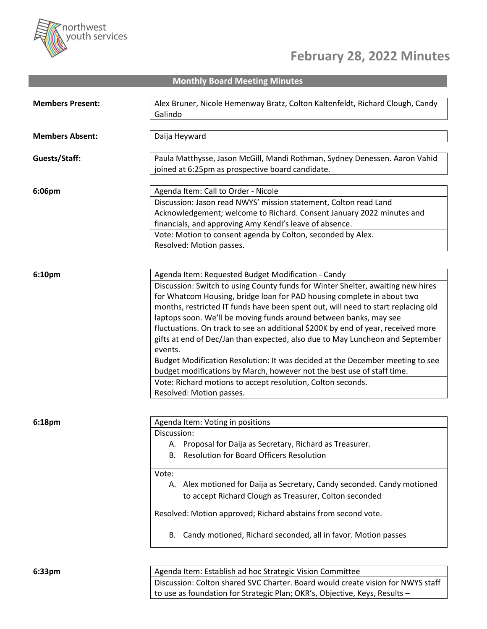

## **February 28, 2022 Minutes**

**Monthly Board Meeting Minutes**

| <b>Members Present:</b> | Alex Bruner, Nicole Hemenway Bratz, Colton Kaltenfeldt, Richard Clough, Candy     |
|-------------------------|-----------------------------------------------------------------------------------|
|                         | Galindo                                                                           |
|                         |                                                                                   |
| <b>Members Absent:</b>  | Daija Heyward                                                                     |
|                         |                                                                                   |
| Guests/Staff:           | Paula Matthysse, Jason McGill, Mandi Rothman, Sydney Denessen. Aaron Vahid        |
|                         | joined at 6:25pm as prospective board candidate.                                  |
|                         |                                                                                   |
| 6:06pm                  | Agenda Item: Call to Order - Nicole                                               |
|                         |                                                                                   |
|                         | Discussion: Jason read NWYS' mission statement, Colton read Land                  |
|                         | Acknowledgement; welcome to Richard. Consent January 2022 minutes and             |
|                         | financials, and approving Amy Kendi's leave of absence.                           |
|                         | Vote: Motion to consent agenda by Colton, seconded by Alex.                       |
|                         | Resolved: Motion passes.                                                          |
|                         |                                                                                   |
| 6:10pm                  | Agenda Item: Requested Budget Modification - Candy                                |
|                         | Discussion: Switch to using County funds for Winter Shelter, awaiting new hires   |
|                         |                                                                                   |
|                         | for Whatcom Housing, bridge loan for PAD housing complete in about two            |
|                         | months, restricted IT funds have been spent out, will need to start replacing old |
|                         | laptops soon. We'll be moving funds around between banks, may see                 |
|                         | fluctuations. On track to see an additional \$200K by end of year, received more  |
|                         | gifts at end of Dec/Jan than expected, also due to May Luncheon and September     |
|                         | events.                                                                           |
|                         | Budget Modification Resolution: It was decided at the December meeting to see     |
|                         | budget modifications by March, however not the best use of staff time.            |
|                         | Vote: Richard motions to accept resolution, Colton seconds.                       |
|                         | Resolved: Motion passes.                                                          |
|                         |                                                                                   |
|                         |                                                                                   |
| 6:18pm                  | Agenda Item: Voting in positions                                                  |
|                         | Discussion:                                                                       |
|                         | A. Proposal for Daija as Secretary, Richard as Treasurer.                         |
|                         | B. Resolution for Board Officers Resolution                                       |
|                         | Vote:                                                                             |
|                         |                                                                                   |
|                         | A. Alex motioned for Daija as Secretary, Candy seconded. Candy motioned           |
|                         | to accept Richard Clough as Treasurer, Colton seconded                            |
|                         | Resolved: Motion approved; Richard abstains from second vote.                     |
|                         |                                                                                   |
|                         | B. Candy motioned, Richard seconded, all in favor. Motion passes                  |
|                         |                                                                                   |
|                         |                                                                                   |
|                         |                                                                                   |
| 6:33pm                  | Agenda Item: Establish ad hoc Strategic Vision Committee                          |
|                         | Discussion: Colton shared SVC Charter. Board would create vision for NWYS staff   |
|                         | to use as foundation for Strategic Plan; OKR's, Objective, Keys, Results -        |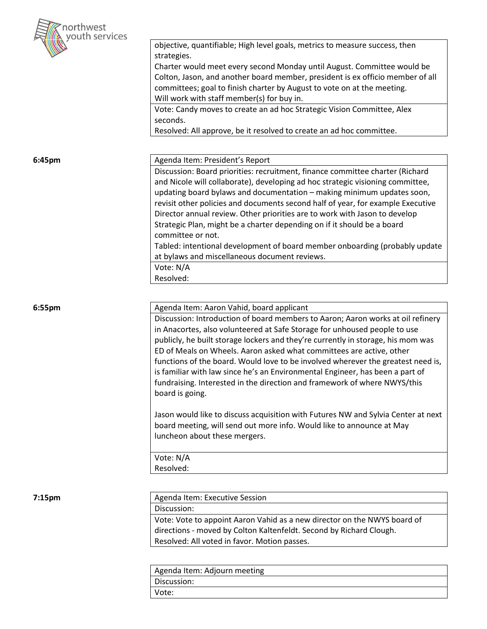

|        | objective, quantifiable; High level goals, metrics to measure success, then       |
|--------|-----------------------------------------------------------------------------------|
|        | strategies.                                                                       |
|        | Charter would meet every second Monday until August. Committee would be           |
|        | Colton, Jason, and another board member, president is ex officio member of all    |
|        | committees; goal to finish charter by August to vote on at the meeting.           |
|        | Will work with staff member(s) for buy in.                                        |
|        | Vote: Candy moves to create an ad hoc Strategic Vision Committee, Alex            |
|        | seconds.                                                                          |
|        | Resolved: All approve, be it resolved to create an ad hoc committee.              |
|        |                                                                                   |
| 6:45pm | Agenda Item: President's Report                                                   |
|        | Discussion: Board priorities: recruitment, finance committee charter (Richard     |
|        | and Nicole will collaborate), developing ad hoc strategic visioning committee,    |
|        | updating board bylaws and documentation - making minimum updates soon,            |
|        | revisit other policies and documents second half of year, for example Executive   |
|        | Director annual review. Other priorities are to work with Jason to develop        |
|        |                                                                                   |
|        | Strategic Plan, might be a charter depending on if it should be a board           |
|        | committee or not.                                                                 |
|        | Tabled: intentional development of board member onboarding (probably update       |
|        | at bylaws and miscellaneous document reviews.                                     |
|        | Vote: N/A                                                                         |
|        | Resolved:                                                                         |
|        |                                                                                   |
|        |                                                                                   |
|        |                                                                                   |
|        | Agenda Item: Aaron Vahid, board applicant                                         |
|        | Discussion: Introduction of board members to Aaron; Aaron works at oil refinery   |
|        | in Anacortes, also volunteered at Safe Storage for unhoused people to use         |
|        | publicly, he built storage lockers and they're currently in storage, his mom was  |
|        | ED of Meals on Wheels. Aaron asked what committees are active, other              |
|        | functions of the board. Would love to be involved wherever the greatest need is,  |
|        | is familiar with law since he's an Environmental Engineer, has been a part of     |
|        | fundraising. Interested in the direction and framework of where NWYS/this         |
|        | board is going.                                                                   |
|        |                                                                                   |
|        | Jason would like to discuss acquisition with Futures NW and Sylvia Center at next |
|        | board meeting, will send out more info. Would like to announce at May             |
|        | luncheon about these mergers.                                                     |
|        |                                                                                   |
| 6:55pm | Vote: N/A                                                                         |
|        | Resolved:                                                                         |
|        |                                                                                   |
|        | Agenda Item: Executive Session                                                    |
|        | Discussion:                                                                       |
|        | Vote: Vote to appoint Aaron Vahid as a new director on the NWYS board of          |
| 7:15pm | directions - moved by Colton Kaltenfeldt. Second by Richard Clough.               |
|        | Resolved: All voted in favor. Motion passes.                                      |

| Agenda Item: Adjourn meeting |  |  |
|------------------------------|--|--|
| Discussion:                  |  |  |
| Vote:                        |  |  |